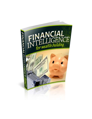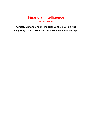## **Financial Intelligence**

For Wealth Building

**"Greatly Enhance Your Financial Sense In A Fun And Easy Way – And Take Control Of Your Finances Today!"**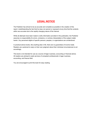## **LEGAL NOTICE**

The Publisher has strived to be as accurate and complete as possible in the creation of this report, notwithstanding the fact that he does not warrant or represent at any time that the contents within are accurate due to the rapidly changing nature of the Internet.

While all attempts have been made to verify information provided in this publication, the Publisher assumes no responsibility for errors, omissions, or contrary interpretation of the subject matter herein. Any perceived slights of specific persons, peoples, or organizations are unintentional.

In practical advice books, like anything else in life, there are no guarantees of income made. Readers are cautioned to reply on their own judgment about their individual circumstances to act accordingly.

This book is not intended for use as a source of legal, business, accounting or financial advice. All readers are advised to seek services of competent professionals in legal, business, accounting, and finance field.

You are encouraged to print this book for easy reading.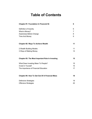## **Table of Contents**

| <b>Chapter #1: Foundation In Financial IQ</b>         | 6      |
|-------------------------------------------------------|--------|
| Definition of Insanity                                | 6      |
| What is Money?                                        | 7      |
| Awareness Before Change<br>Time And Money             | 8<br>9 |
|                                                       |        |
| <b>Chapter #2: Ways To Achieve Wealth</b>             | 11     |
| 2 Wealth Building Models                              | 11     |
| 3 Ways of Making Money                                | 13     |
| Chapter #3: The Most Important Rule In Investing      | 15     |
| What Does Investing Mean To People?                   | 15     |
| <b>Invest in Yourself</b>                             | 15     |
| The importance of Financial Education                 | 17     |
| <b>Chapter #4: How To Get Out Of A Financial Mess</b> | 19     |
| Defensive Strategies                                  | 19     |
| <b>Offensive Strategies</b>                           | 20     |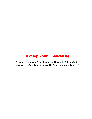## **Develop Your Financial IQ**

**"Greatly Enhance Your Financial Sense In A Fun And Easy Way – And Take Control Of Your Finances Today!"**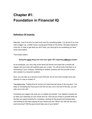# **Chapter #1: Foundation in Financial IQ**

## **Definition Of Insanity**

Naturally, most if not all of us want and crave for something better. It is all part of us if we want a bigger car, a better house, buying good things for the family. We keep hoping for more but, in order to get what you don't have, you have got to do something you have never done before.

That simply means:

#### **Doing the same thing over and over again YET expecting different results!**

As an employee, you can't stay at the same job forever and hope that a miracle will happen and your boss will suddenly give you a raise. You will be lucky that there is no downsizing in your company. Switching to another company will only provide a short term solution to a long term problem.

Sure, you can take up a second or even third job, but do you have enough hours and stamina in a day to sustain it?

The bottom-line: Trading time for money isn't wise financial sense in the long term. You keep on increasing the hours just to win the rat race, but in the end of the day, you are still a rat on the mill!

Increasing your wages only puts you in a higher tax bracket. Your salaries increase but so does your expenses on your house and car. How will you invest in yourself when all the time you spend working for a company, working for the government paying taxes and working for the bank paying off your house and car? What if you fall sick and can't work tomorrow? Will the government take care of your family?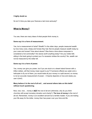#### **I highly doubt so**.

So isn't it time you take your finances a tad more seriously?

## **What Is Money?**

You see, there are many ideas of what people think money is.

#### **Some say it is a form of measurement.**

Yes, but a measurement of what? Wealth? In the olden days, people measured wealth by how many cows, sheep and horses they had. But do people measure wealth today by your cows and horses? How about slaves? Was there a time where manpower is considered a hot commodity? Are slaves worth anything today? Are your dollar bills sitting in the bank going to protect you if a recession strikes the country? No, wealth can not be measured by the dollar bill.

#### **Some say it is a form of power.**

Yes, money can give you power, but if you are stuck on a desert island forever with a trillion dollars, will that money mean squat to you? If someone offered you water and a helicopter to fly out of there, you would trade all your money in a split second, so money is not an accurate measurement of power – it heavily depends on how and wisely you use it (*hint!*).

#### **Many believe** *it is the root of all evil***… and several others take on this belief without much questioning.**

Now, now, now… money is **NOT** the root of all evil (*otherwise, why do you think churches still accept monetary donation and charity?*). **The love of money** is the root of all evil. Remember, money is an excellent servant but a terrible master. If you are trading your life away for the dollar, money then has power over your time and life.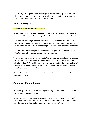And unless you have proper financial intelligence, the lack of money can spawn a lot of evil thinking and negative mindset as observed in primarily cheats, thieves, criminals, breakups, freeloaders, cheapskates, and more to name.

#### **But what is money, really?**

#### **Money is an idea, backed by confidence.**

While money has naturally been developed by merchants in the older days to replace the questionable barter system, money today is literally invented by the rich and wealthy.

Entrepreneurs are willing to part with their money to buy other people's time. Other people's time i.e. *employees and self-employed people* becomes their employer's asset and the employers this priceless resource to go on to create more wealth for themselves.

And here's the thing: **as long as you work for money, you are enslaved by it! 80% - 90%** of the populations today are being *enslaved* involuntarily.

What we don't realize is that there is a part of our soul that cannot be bought at whatever price. Would you chop off your little finger if your boss offered you 24 months of your salary immediately? You and I know we are worth more than that. But when you hear of cases of people selling their body parts for cash in some countries, we can have our eyeballs pop out of our eye sockets.

On the other hand, we occasionally DO sell out a part of ourselves for money like a donkey and a carrot.

### **Awareness Before Change**

Now **don't get me wrong**: I'm not banging on working at a job (I worked at one before I became an Internet Entrepreneur).

But let's face it: our needs today are growing more than ever before in any period of history. Prices go up, salaries don't. There are more baby boomers than ever and have very little pension to show for their decades of years of work efforts.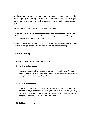And there is no guessing to how many people really, really hate the unhealthy, hectic lifestyle of getting up early, coping with stress for most parts of the day, join traffic jams, spend more money and time in traveling, enjoy very little rest, and repeat the viscous cycle.

#### *Definitely doesn't paint a nice financial and lifestyle picture, huh?*

The first step to change is to **be aware of the problem**. Awareness before change (or ABC for short) is necessary if you are to make any changes in life to start taking control of your financial life and then get out of the rat race.

We need the awareness to know what state we are in so we know where we are going. For starters, indulge me in a quick exercise as we exit this chapter shortly:

### **Time And Money**

There are generally 4 types of people in the world:

#### **(1) No time, and no money.**

Most employees fall into the category. You can't go shopping on a Tuesday afternoon or fire your boss whenever you like. Most employees can't even save money in their pension to last 3 years!

#### **(2) No time, lots of money.**

Self-employed, professionals and small business owners are in this category. They are slightly better off than the employee because they earn more, but they have to work even harder than employees to keep up with the diminishing profit margins, competition and servicing their customers.

#### **(3) Got time, no money.**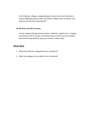A lot of farmers, villagers, college dropouts or bums have lots of time but no money. Maybe ignorance is bliss, but without a stable source of income, how long can you last many days forward?

#### **(4) Got time, and lots of money.**

It is the category that big business owners, landlords, investors are in. Imagine, not having to work for money, but having money to work for you by investing them and earning profits by using your money to make money.

## **Short Quiz**

- 1. Which one of the four categories are you currently in?
- 2. Which one category do you desire to be in tomorrow?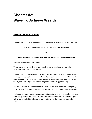## **Chapter #2: Ways To Achieve Wealth**

## **2 Wealth Building Models**

Everyone wants to make more money, but people are generally split into two categories:

#### **Those who bring results after they are promised wealth first**

Or

#### **Those who bring the results first, then are rewarded by others afterwards**

Let's explore the two groups in depth.

Those who only move their butts after promised big fat paychecks are more like employees, freshmen, or mercenaries.

There is no right or no wrong with this kind of thinking, but consider: you are once again, trading your precious time for money. Instead of investing your time in an ASSET that generates money, you spend your time working on something that is short term, limited wealth, and does not give you income long after you have stopped working.

Consider also, that this kind of short term vision will only produce limited or temporary results at best. Ever seen a security guard asleep at work when the boss is not around?

Furthermore, the part where our emotions get the better of us is when we allow our lives to be run by chasing the dollar. It is evident whenever an employee is offered a higher salary, more medical benefits and longer vacations, that their heart starts pumping faster.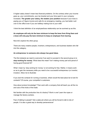A higher salary doesn't mean less financial problems. On the contrary when your income goes up, your commitments, your tax bracket and your time spent in your company increases. **The greater your salary, the weaker your position** because if your boss is paying you a 5 figure income and calls for an emergency meeting, *you had better rush over to the office even if you are halfway making love to your wife!*

I think the best definition of an employee/boss relationship can be summed up as this.

#### **An employee will only do the bare minimum to keep the boss from firing them and a boss will only pay the bare minimum to keep an employee from leaving.**

Now let's explore the other group.

There are many creative people, inventors, entrepreneurs, and business leaders who fall into this category.

#### **An entrepreneur is someone who always has good ideas.**

The first obstacle we need to overcome if we want to succeed in the second group is to **stop working for money**. What does this mean? Isn't making money part and parcel of having good financial IQ?

What I mean by 'stop working for money' is not working for free. Rather, it means work so as to gain the necessary skills you need to be a successful entrepreneur (or inventor, investor). Allow me to illustrate:

If you lack the contacts for running a business, where would the best place be to look for contacts? Of course, your competitor's customers.

How about product knowledge? Then work with a company that will teach you all the ins and outs of the tricks of the trade.

Not familiar with the production line of a factory? Work in one! Learn the ropes or manage the factory workers.

Fear of talking to people? Get a sales job where you will be forced to talk to lots of people. It is also a great way to develop perseverance!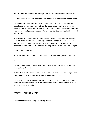Don't you know that the best education you can get is in real life! Not at a lecture hall.

The bottom-line is: **not everybody has what it takes to succeed as an entrepreneur!**

It is not that easy. Many lack the perseverance, the creative mindset, the financial capabilities or the necessary people to get the job done and usually give up too early before any results can be seen! The fastest way to get those skills to succeed is to learn them hands on and you even get paid in the process! Don't get absorbed with how much you are paid.

When Donald Trump was selecting candidates in *The Apprentice*, their first task was to go to the streets and sell lemonade! Many would find it a degrading task. But to The Donald, it was very important: If you can't even do something as simple as sell lemonade, how on earth can you handle a daunting task like running the Trump Empire?

Again, let me emphasize:

Would you trade time for short term money? (Money stops coming in when you stop)

Or

Trade time and money for a long term asset that generates you income? (Even long after you have stopped)

God created us with a brain. All we need to do is look around us and observe problems to overcome because every problem is an opportunity in disguise.

It is all up to you. You may or may not see the results in the short term, but by using our brains and the resources around us, we can create true value that others are willing to pay for what we have to offer.

## **3 Ways of Making Money**

**Let me summarize the 3 Ways of Making Money**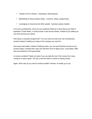- Trading Time For Money employees, self-employed
- Manifesting & Using Creative Ideas inventors, artists, programmers
- Leveraging on resources and other people business people, leaders

If you are a professional, have you ever explored writing an e-book about your field of expertise? If well written, it could provide a new income stream, instead of you selling out your time serving your clients.

How about a computer programmer? You can come out with your own revolutionary product instead of selling your ideas to the company you work for.

How about real estate, instead of selling houses, you can pool financial sources to buy houses cheap, increase their value and sell them off at a higher price. It just takes a little time and research to find good ideas.

Is money a problem? Seek out loans if you can take the risk. Pool money from many investors or seek a grant. The sky is the limit when it comes to making money.

Again, which way do you want to achieve wealth? Answer: it's totally up to you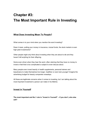# **Chapter #3: The Most Important Rule in Investing**

## **What Does Investing Mean To People?**

What comes in to your mind when you mention the word investing?

Does it mean, putting your money in insurance, mutual funds, the stock market or even high-yield investments?

Other people might only think about investing when they are about to die and they haven't left anything for their offspring.

Some even shiver when they hear the word, often claiming that they have no money to invest or feel that is too complicated a subject to even discuss about.

Many people even invest heavily in health supplements, personal trainers and beauticians to make themselves live longer, healthier or even look younger! Imagine the advertising budget for beauty companies nowadays.

All these are legitimate concerns when it comes to investing, but I am talking about the most important investment a person can make in his lifetime.

## **Invest in Yourself**

**The most important and No.1 rule is "Invest in Yourself" – if you don't, who else will?**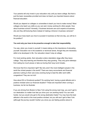Your parents will only invest in your education only until you leave college. But that is just the basic necessities provided and does not teach you important lessons about financial education.

Would you depend on colleges or universities to teach you how to make money? Most colleges only teach you skills so you can earn money working for other people. How about business school? Honestly, if business lecturers are such experts at business, why are they still lecturing there instead of making a fortune in business ventures?

Would your boss teach you how to succeed in business so that one day, you will be in his position?

#### **You and only you have to be proactive enough to take that responsibility**

You see, when you invest in yourself, it means taking on the importance of educating yourself. Education not in the academic or technical sense, though they are necessary skills to be developed in life. Our education doesn't stop at college.

For most working adults, their education enters retardation stage after they leave college. They stop learning and therefore they stop growing. They only grow sideways from eating too much pizzas or take-out during their busy lunch breaks.

We know that IQ is important right? But why aren't the most intelligent people in the world the richest people in the world? There are many accountants and financial planners rushing to their cars every evening trying to beat the after work traffic congestions! They are not rich!

How about EQ or Emotional quotient? Do working hard, having a great attitude and a positive mindset solve our financial situation? These are important when running a business, but let me illustrate:

If you are driving from Boston to New York using the wrong road map, you won't get to our destination no matter how fast you drive your car (working hard)! You can work harder, but you would only get to the wrong destination faster! You may have the best attitude in the world or the most positive mindset, but you still won't get to New York (although the journey wouldn't bother you since you are feeling positive about it)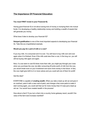## **The Importance Of Financial Education**

#### **You must FIRST invest in your Financial IQ.**

Having good financial IQ is not about saving tons of money or dumping them into mutual funds. It is developing a healthy relationship money and building a wealth of assets that will generate you money.

What does it take to develop your financial IQ?

**Delayed gratification** is one of the most important aspects to developing your financial IQ. Take this as a hypothetical example.

#### **Would you pay for a pint of milk or a cow?**

If you buy milk, it is consumed and it is over. You will have to buy milk over and over again when it is finished. Even if the milk costs less than a cow, in the long run, you will still be buying milk again and again.

Now, if a cow were to cost 50 times more than milk, you might pay through your nose when you purchase the cow, but after consuming 50 pints worth of milk from the cow, you would break even on your investment and save more money in the future. In fact, the cow might give birth to 2 or more calves and you could sell one of them for profit!

Get the idea?

EVERYONE is capable of **creating wealth.** When you take a beat up old car and give it an overhaul, paint it with a new coat of paint, and change a few more parts to make it start running again, you could sell that car for more money than if it was just a beat up old car. You would have created wealth in the process!

How about a farm? If you turn a farm into a country home getaway resort, wouldn't the value of the farm land increase manifold?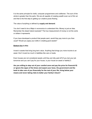It is the same principle for chefs, computer programmers and craftsmen. The sum of the whole is greater than the parts. We are all capable of creating wealth even out of thin air and that is the first step to getting our creative juices flowing.

The value of anything is defined by **supply and demand**.

You don't need to be a Major in economics to understand this. Money is just an idea. Remember the desert island example? The true measurement of money is not the cents or dollars it represents.

If you have developed a product that people want, would they pay more to you than usual? Would you apply your skills in creating good assets?

#### **Bottom-line is this:**

Invest in assets that bring long term value. Anything that brings you more income is an asset. Don't invest too much in liabilities like cars or boats.

Even houses are not considered assets until they are fully paid off (If you lost your job tomorrow and you can't pay for your house, is your house an asset or liability?)

**Are you willing to step out of your comfort zone and pay the price for financial IQ or ignore the signs of the times and expect your boss, the government and the bank to take care of you financially for the rest of your life, living below your means and never taking risks to better your family's future?**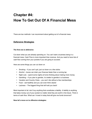# **Chapter #4: How To Get Out Of A Financial Mess**

There are two methods I can recommend about getting out of a financial mess.

## **Defensive Strategies**

#### **The first one is defensive:**

Cut down what you are already spending on. You can't start a business being in a financial mess. Cash Flow is more important than revenue. And you need to have lots of cash flow coming from your pockets if you are going to succeed.

Here are some things you can cut down on

- Smoking if you can't quit, just cut down on a few sticks
- Alcohol booze can drain your finances faster than a running tap
- Night outs spend some nights at home thinking about making more money
- Gambling if you plan to gamble, it is better to gamble in a business
- Vacation and Country Clubs you won't die without a few memberships
- Food eat healthily and you can even think clearer
- Laziness The biggest thing that will hold you back!

Most important of all, don't buy anything that constitutes a liability. A liability is anything that takes money out of your pocket no matter what they are worth in the future. Think in terms of cash flow. What can I invest in today that will give me funds tomorrow?

#### **Now let's move on to offensive strategies:**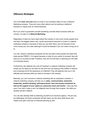## **Offensive Strategies**

One of the **best, low-cost** ways to invest in your business skills is to join a Network Marketing company. There are many other options such as starting a traditional business or maybe even an Online Business.

But if you want to guarantee yourself something concrete where business skills are concern, my take is on **Network Marketing**.

Regardless of what you have heard about this industry or how much money people have lost there, the biggest reason why I would recommend everyone to invest in a network marketing company is because of what you can learn there, and not because of how much money you can make (although it would be fantastic if you can make a living out of it).

You see, network marketing companies are the one place where people will share their trade secrets FREELY. It is logical because in order for your upline to succeed, they will want you to succeed as well! Therefore, they will not hold back in teaching you the skills of a business person.

Furthermore, the relatively low cost of investing in a network marketing company will amaze you for what you can learn for the price you are paying (a few bottles of vitamins and a business kit for the experience of a lifetime!) They will patiently train you in the attitudes and business skills you need to succeed in this industry.

Basically, you can't succeed in network marketing with an employee's mindset. A network marketing company will train you in **sales, communication, teamwork, leadership, positive thinking, self-improvement, time and money investment as well as the support of your upline as a personal coach and mentor**. I dare say that even if you didn't make a cent, but diligently went through their program, the skills you develop will last a lifetime.

You can also develop skills by attaching yourself to an insurance agency. The job may be challenging, but those companies will also teach you the same skills above and maybe even gain a few tips on financial planning as well.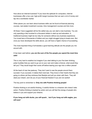How about an Internet business? If you have the aptitude for computers, Internet businesses offer a low cost, high-profit margin business that can earn a lot of money and tap into a worldwide market.

Other places you can learn about business skills can be found at financial planning courses, real estate investment courses, time management courses and lots more.

All these I have suggested will be the safest way you can start a new business. You are only spending a few hundred to a thousand dollars in start-up and education. A traditional business might be too risky for someone without any business experience. You invest tens of thousands of dollars and you might struggle trying to break even. But once you have developed the skills above, you will have a higher chance of succeeding.

The most important thing of all besides a good learning attitude are the people you mix around with.

#### It has been said before; **you are the sum of the five people you spend the most time with!**

This is very hard to swallow but imagine if you start talking to your five beer drinking, poker buddies that you want to go out on your own and make a fortune, what would they tell you? They would laugh their socks off before tearing your ego into a million pieces!

At the heart of man lies jealousy. They don't want to see the people around them succeed. If you succeed, it makes them look bad. They know in their hearts that they are going no where yet they embrace that lifestyle and pull you down with them. They will steal your dream, and rob you of your financial freedom if you are not careful!

#### The key point to remember is: **Only mix with Positive thinking people!**

Positive thinking is not wishful thinking. A wishful thinker is a dreamer who doesn't take action. Positive thinking is backed by action and you will feel the energy of people who believe in you and support your dreams.

#### **If you hang out with ducks, you will quack… but if you hang out with eagles, you will soar!**